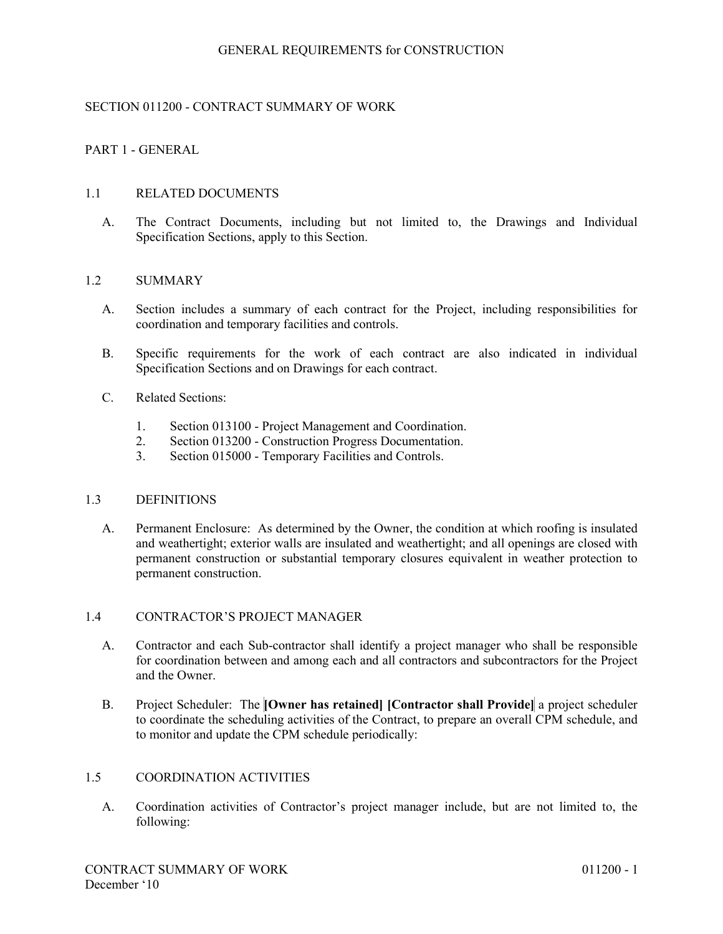## SECTION 011200 - CONTRACT SUMMARY OF WORK

## PART 1 - GENERAL

### 1.1 RELATED DOCUMENTS

A. The Contract Documents, including but not limited to, the Drawings and Individual Specification Sections, apply to this Section.

### 1.2 SUMMARY

- A. Section includes a summary of each contract for the Project, including responsibilities for coordination and temporary facilities and controls.
- B. Specific requirements for the work of each contract are also indicated in individual Specification Sections and on Drawings for each contract.
- C. Related Sections:
	- 1. Section 013100 Project Management and Coordination.
	- 2. Section 013200 Construction Progress Documentation.
	- 3. Section 015000 Temporary Facilities and Controls.

#### 1.3 DEFINITIONS

A. Permanent Enclosure: As determined by the Owner, the condition at which roofing is insulated and weathertight; exterior walls are insulated and weathertight; and all openings are closed with permanent construction or substantial temporary closures equivalent in weather protection to permanent construction.

### 1.4 CONTRACTOR'S PROJECT MANAGER

- A. Contractor and each Sub-contractor shall identify a project manager who shall be responsible for coordination between and among each and all contractors and subcontractors for the Project and the Owner.
- B. Project Scheduler: The **[Owner has retained] [Contractor shall Provide]** a project scheduler to coordinate the scheduling activities of the Contract, to prepare an overall CPM schedule, and to monitor and update the CPM schedule periodically:

### 1.5 COORDINATION ACTIVITIES

A. Coordination activities of Contractor's project manager include, but are not limited to, the following: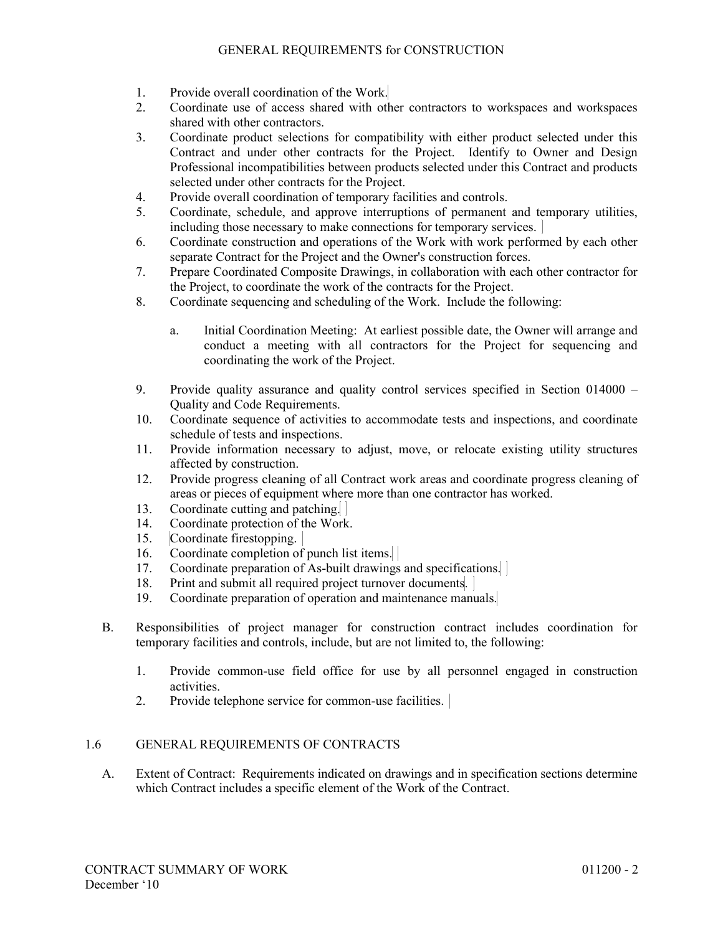- 1. Provide overall coordination of the Work.
- 2. Coordinate use of access shared with other contractors to workspaces and workspaces shared with other contractors.
- 3. Coordinate product selections for compatibility with either product selected under this Contract and under other contracts for the Project. Identify to Owner and Design Professional incompatibilities between products selected under this Contract and products selected under other contracts for the Project.
- 4. Provide overall coordination of temporary facilities and controls.
- 5. Coordinate, schedule, and approve interruptions of permanent and temporary utilities, including those necessary to make connections for temporary services.
- 6. Coordinate construction and operations of the Work with work performed by each other separate Contract for the Project and the Owner's construction forces.
- 7. Prepare Coordinated Composite Drawings, in collaboration with each other contractor for the Project, to coordinate the work of the contracts for the Project.
- 8. Coordinate sequencing and scheduling of the Work. Include the following:
	- a. Initial Coordination Meeting: At earliest possible date, the Owner will arrange and conduct a meeting with all contractors for the Project for sequencing and coordinating the work of the Project.
- 9. Provide quality assurance and quality control services specified in Section 014000 Quality and Code Requirements.
- 10. Coordinate sequence of activities to accommodate tests and inspections, and coordinate schedule of tests and inspections.
- 11. Provide information necessary to adjust, move, or relocate existing utility structures affected by construction.
- 12. Provide progress cleaning of all Contract work areas and coordinate progress cleaning of areas or pieces of equipment where more than one contractor has worked.
- 13. Coordinate cutting and patching.
- 14. Coordinate protection of the Work.
- 15. Coordinate firestopping.
- 16. Coordinate completion of punch list items.
- 17. Coordinate preparation of As-built drawings and specifications.
- 18. Print and submit all required project turnover documents.
- 19. Coordinate preparation of operation and maintenance manuals.
- B. Responsibilities of project manager for construction contract includes coordination for temporary facilities and controls, include, but are not limited to, the following:
	- 1. Provide common-use field office for use by all personnel engaged in construction activities.
	- 2. Provide telephone service for common-use facilities.

## 1.6 GENERAL REQUIREMENTS OF CONTRACTS

A. Extent of Contract: Requirements indicated on drawings and in specification sections determine which Contract includes a specific element of the Work of the Contract.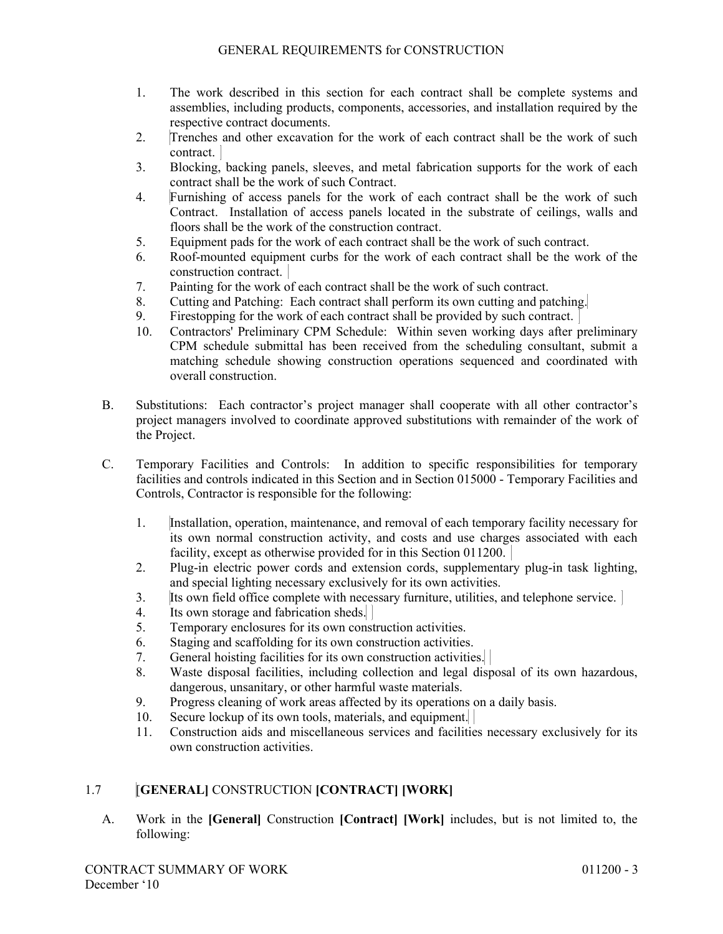- 1. The work described in this section for each contract shall be complete systems and assemblies, including products, components, accessories, and installation required by the respective contract documents.
- 2. Trenches and other excavation for the work of each contract shall be the work of such contract.
- 3. Blocking, backing panels, sleeves, and metal fabrication supports for the work of each contract shall be the work of such Contract.
- 4. Furnishing of access panels for the work of each contract shall be the work of such Contract. Installation of access panels located in the substrate of ceilings, walls and floors shall be the work of the construction contract.
- 5. Equipment pads for the work of each contract shall be the work of such contract.
- 6. Roof-mounted equipment curbs for the work of each contract shall be the work of the construction contract.
- 7. Painting for the work of each contract shall be the work of such contract.
- 8. Cutting and Patching: Each contract shall perform its own cutting and patching.
- 9. Firestopping for the work of each contract shall be provided by such contract.
- 10. Contractors' Preliminary CPM Schedule: Within seven working days after preliminary CPM schedule submittal has been received from the scheduling consultant, submit a matching schedule showing construction operations sequenced and coordinated with overall construction.
- B. Substitutions: Each contractor's project manager shall cooperate with all other contractor's project managers involved to coordinate approved substitutions with remainder of the work of the Project.
- C. Temporary Facilities and Controls: In addition to specific responsibilities for temporary facilities and controls indicated in this Section and in Section 015000 - Temporary Facilities and Controls, Contractor is responsible for the following:
	- 1. Installation, operation, maintenance, and removal of each temporary facility necessary for its own normal construction activity, and costs and use charges associated with each facility, except as otherwise provided for in this Section 011200.
	- 2. Plug-in electric power cords and extension cords, supplementary plug-in task lighting, and special lighting necessary exclusively for its own activities.
	- 3. Its own field office complete with necessary furniture, utilities, and telephone service.
	- 4. Its own storage and fabrication sheds.
	- 5. Temporary enclosures for its own construction activities.
	- 6. Staging and scaffolding for its own construction activities.
	- 7. General hoisting facilities for its own construction activities.
	- 8. Waste disposal facilities, including collection and legal disposal of its own hazardous, dangerous, unsanitary, or other harmful waste materials.
	- 9. Progress cleaning of work areas affected by its operations on a daily basis.
	- 10. Secure lockup of its own tools, materials, and equipment.
	- 11. Construction aids and miscellaneous services and facilities necessary exclusively for its own construction activities.

# 1.7 [**GENERAL]** CONSTRUCTION **[CONTRACT] [WORK]**

A. Work in the **[General]** Construction **[Contract] [Work]** includes, but is not limited to, the following: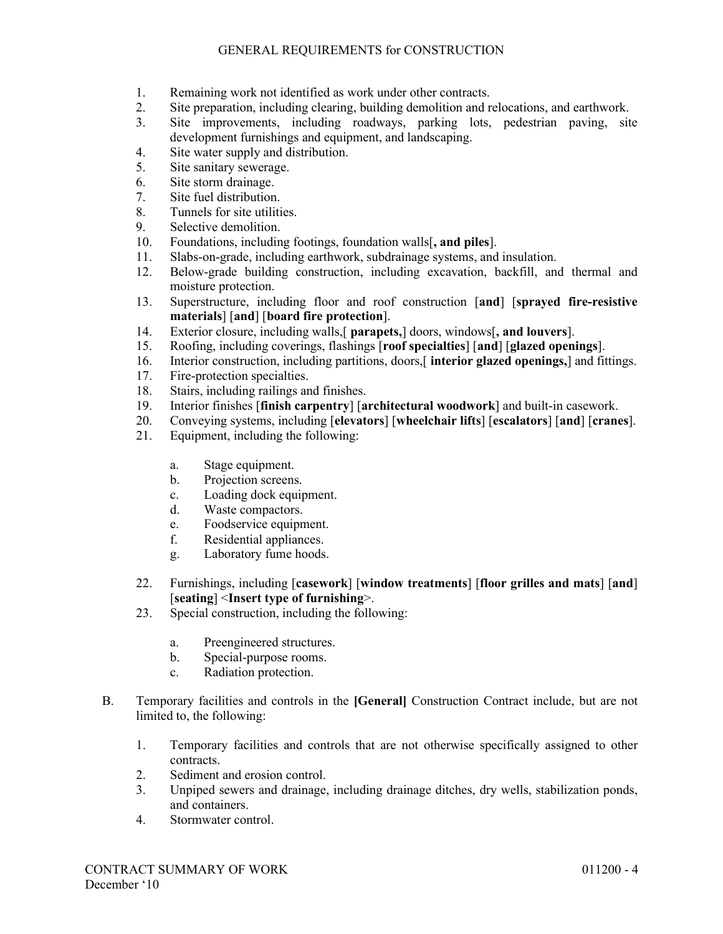- 1. Remaining work not identified as work under other contracts.
- 2. Site preparation, including clearing, building demolition and relocations, and earthwork.
- 3. Site improvements, including roadways, parking lots, pedestrian paving, site development furnishings and equipment, and landscaping.
- 4. Site water supply and distribution.
- 5. Site sanitary sewerage.
- 6. Site storm drainage.
- 7. Site fuel distribution.
- 8. Tunnels for site utilities.
- 9. Selective demolition.<br>10. Foundations, including
- 10. Foundations, including footings, foundation walls[**, and piles**].
- 11. Slabs-on-grade, including earthwork, subdrainage systems, and insulation.
- 12. Below-grade building construction, including excavation, backfill, and thermal and moisture protection.
- 13. Superstructure, including floor and roof construction [**and**] [**sprayed fire-resistive materials**] [**and**] [**board fire protection**].
- 14. Exterior closure, including walls,[ **parapets,**] doors, windows[**, and louvers**].
- 15. Roofing, including coverings, flashings [**roof specialties**] [**and**] [**glazed openings**].
- 16. Interior construction, including partitions, doors,[ **interior glazed openings,**] and fittings.
- 17. Fire-protection specialties.
- 18. Stairs, including railings and finishes.
- 19. Interior finishes [**finish carpentry**] [**architectural woodwork**] and built-in casework.
- 20. Conveying systems, including [**elevators**] [**wheelchair lifts**] [**escalators**] [**and**] [**cranes**].
- Equipment, including the following:
	- a. Stage equipment.
	- b. Projection screens.
	- c. Loading dock equipment.
	- d. Waste compactors.
	- e. Foodservice equipment.
	- f. Residential appliances.
	- g. Laboratory fume hoods.
- 22. Furnishings, including [**casework**] [**window treatments**] [**floor grilles and mats**] [**and**] [**seating**] <**Insert type of furnishing**>.
- 23. Special construction, including the following:
	- a. Preengineered structures.
	- b. Special-purpose rooms.
	- c. Radiation protection.
- B. Temporary facilities and controls in the **[General]** Construction Contract include, but are not limited to, the following:
	- 1. Temporary facilities and controls that are not otherwise specifically assigned to other contracts.
	- 2. Sediment and erosion control.
	- 3. Unpiped sewers and drainage, including drainage ditches, dry wells, stabilization ponds, and containers.
	- 4. Stormwater control.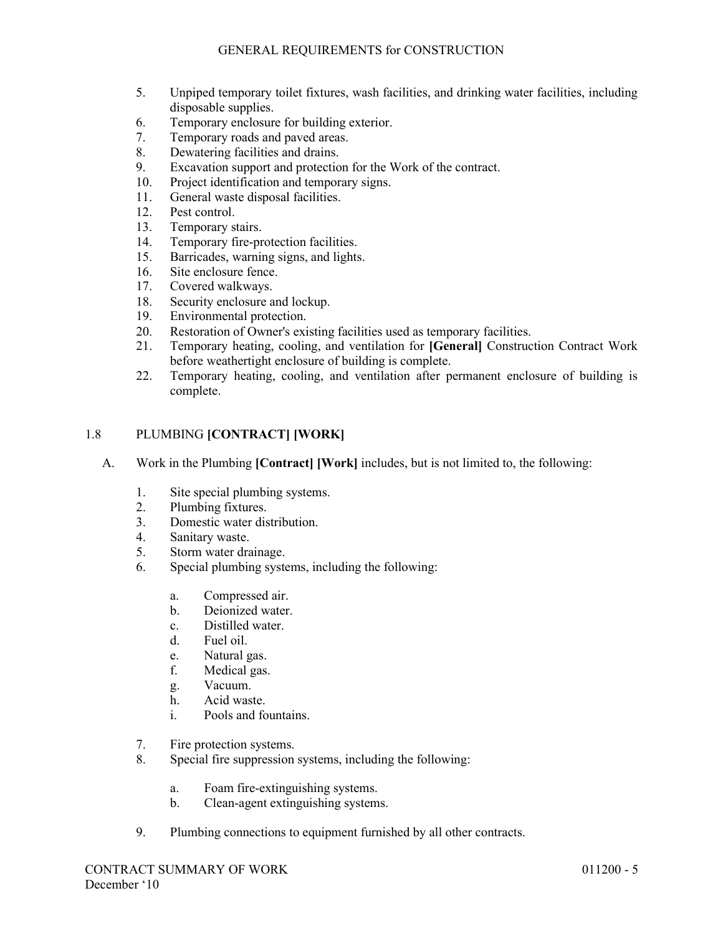- 5. Unpiped temporary toilet fixtures, wash facilities, and drinking water facilities, including disposable supplies.
- 6. Temporary enclosure for building exterior.
- 7. Temporary roads and paved areas.
- 8. Dewatering facilities and drains.
- 9. Excavation support and protection for the Work of the contract.
- 10. Project identification and temporary signs.
- 11. General waste disposal facilities.
- 12. Pest control.
- 13. Temporary stairs.
- 14. Temporary fire-protection facilities.
- 15. Barricades, warning signs, and lights.
- 16. Site enclosure fence.
- 17. Covered walkways.<br>18. Security enclosure a
- Security enclosure and lockup.
- 19. Environmental protection.
- 20. Restoration of Owner's existing facilities used as temporary facilities.
- 21. Temporary heating, cooling, and ventilation for **[General]** Construction Contract Work before weathertight enclosure of building is complete.
- 22. Temporary heating, cooling, and ventilation after permanent enclosure of building is complete.

# 1.8 PLUMBING **[CONTRACT] [WORK]**

- A. Work in the Plumbing **[Contract] [Work]** includes, but is not limited to, the following:
	- 1. Site special plumbing systems.
	- 2. Plumbing fixtures.
	- 3. Domestic water distribution.
	- 4. Sanitary waste.
	- 5. Storm water drainage.
	- 6. Special plumbing systems, including the following:
		- a. Compressed air.
		- b. Deionized water.
		- c. Distilled water.
		- d. Fuel oil.
		- e. Natural gas.
		- f. Medical gas.
		- g. Vacuum.
		- h. Acid waste.<br>i. Pools and fo
		- Pools and fountains.
	- 7. Fire protection systems.
	- 8. Special fire suppression systems, including the following:
		- a. Foam fire-extinguishing systems.
		- b. Clean-agent extinguishing systems.
	- 9. Plumbing connections to equipment furnished by all other contracts.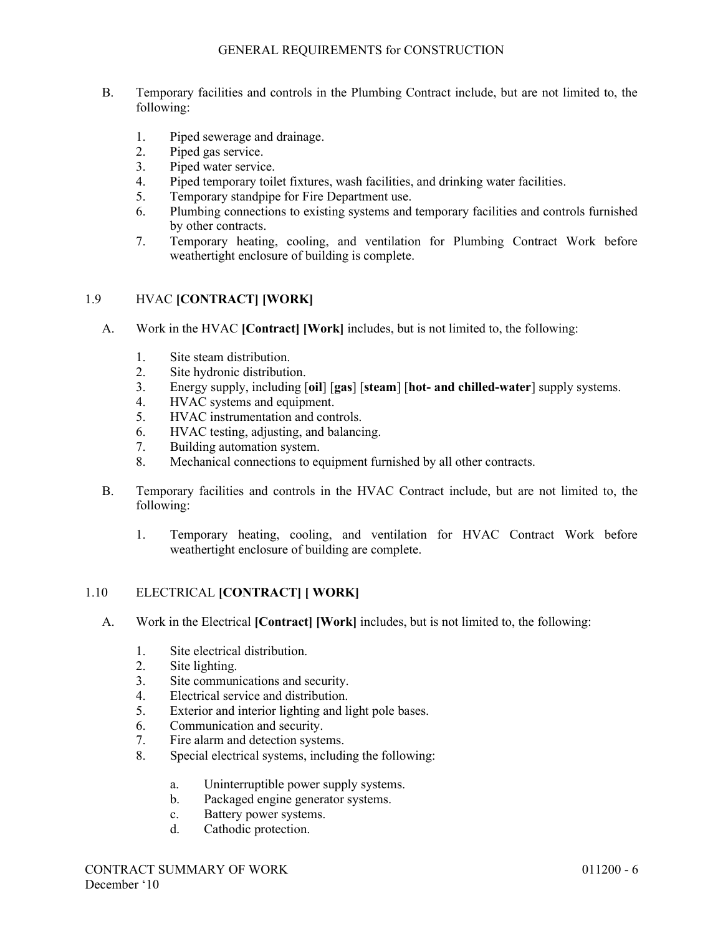- B. Temporary facilities and controls in the Plumbing Contract include, but are not limited to, the following:
	- 1. Piped sewerage and drainage.
	- 2. Piped gas service.
	- 3. Piped water service.
	- 4. Piped temporary toilet fixtures, wash facilities, and drinking water facilities.
	- 5. Temporary standpipe for Fire Department use.
	- 6. Plumbing connections to existing systems and temporary facilities and controls furnished by other contracts.
	- 7. Temporary heating, cooling, and ventilation for Plumbing Contract Work before weathertight enclosure of building is complete.

# 1.9 HVAC **[CONTRACT] [WORK]**

- A. Work in the HVAC **[Contract] [Work]** includes, but is not limited to, the following:
	- 1. Site steam distribution.
	- 2. Site hydronic distribution.
	- 3. Energy supply, including [**oil**] [**gas**] [**steam**] [**hot- and chilled-water**] supply systems.
	- 4. HVAC systems and equipment.
	- 5. HVAC instrumentation and controls.
	- 6. HVAC testing, adjusting, and balancing.
	- 7. Building automation system.
	- 8. Mechanical connections to equipment furnished by all other contracts.
- B. Temporary facilities and controls in the HVAC Contract include, but are not limited to, the following:
	- 1. Temporary heating, cooling, and ventilation for HVAC Contract Work before weathertight enclosure of building are complete.

## 1.10 ELECTRICAL **[CONTRACT] [ WORK]**

- A. Work in the Electrical **[Contract] [Work]** includes, but is not limited to, the following:
	- 1. Site electrical distribution.
	- 2. Site lighting.
	- 3. Site communications and security.
	- 4. Electrical service and distribution.
	- 5. Exterior and interior lighting and light pole bases.
	- 6. Communication and security.
	- 7. Fire alarm and detection systems.
	- 8. Special electrical systems, including the following:
		- a. Uninterruptible power supply systems.
		- b. Packaged engine generator systems.
		- c. Battery power systems.
		- d. Cathodic protection.